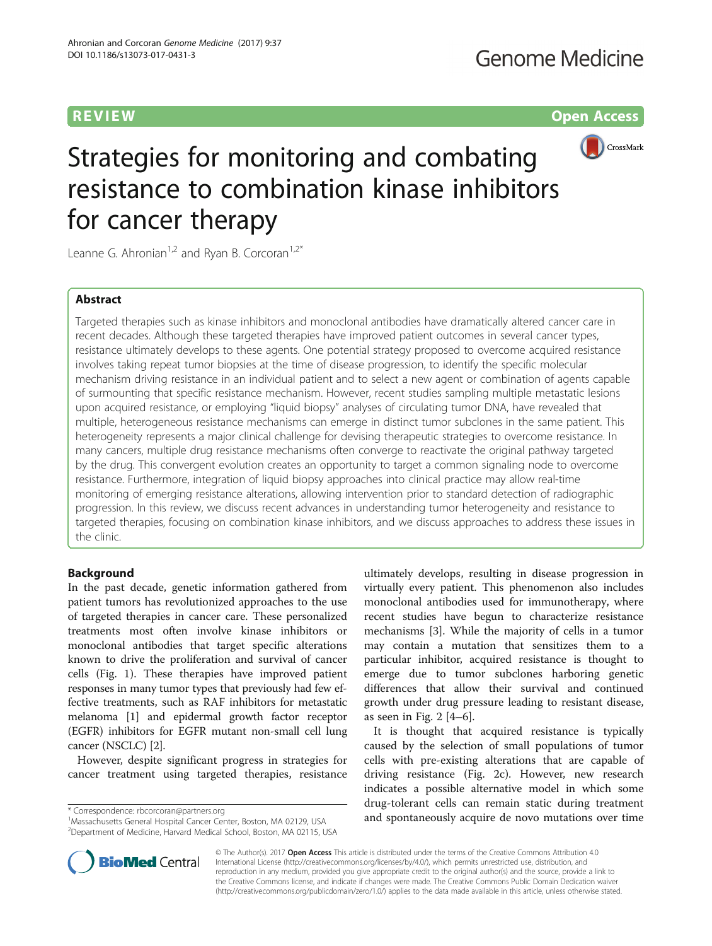**REVIEW REVIEW** *REVIEW REVIEW REVIEW REVIEW REVIEW REVIEW REVIEW REVIEW REVIEW* 



# Strategies for monitoring and combating resistance to combination kinase inhibitors for cancer therapy

Leanne G. Ahronian<sup>1,2</sup> and Ryan B. Corcoran<sup>1,2\*</sup>

# Abstract

Targeted therapies such as kinase inhibitors and monoclonal antibodies have dramatically altered cancer care in recent decades. Although these targeted therapies have improved patient outcomes in several cancer types, resistance ultimately develops to these agents. One potential strategy proposed to overcome acquired resistance involves taking repeat tumor biopsies at the time of disease progression, to identify the specific molecular mechanism driving resistance in an individual patient and to select a new agent or combination of agents capable of surmounting that specific resistance mechanism. However, recent studies sampling multiple metastatic lesions upon acquired resistance, or employing "liquid biopsy" analyses of circulating tumor DNA, have revealed that multiple, heterogeneous resistance mechanisms can emerge in distinct tumor subclones in the same patient. This heterogeneity represents a major clinical challenge for devising therapeutic strategies to overcome resistance. In many cancers, multiple drug resistance mechanisms often converge to reactivate the original pathway targeted by the drug. This convergent evolution creates an opportunity to target a common signaling node to overcome resistance. Furthermore, integration of liquid biopsy approaches into clinical practice may allow real-time monitoring of emerging resistance alterations, allowing intervention prior to standard detection of radiographic progression. In this review, we discuss recent advances in understanding tumor heterogeneity and resistance to targeted therapies, focusing on combination kinase inhibitors, and we discuss approaches to address these issues in the clinic.

# Background

In the past decade, genetic information gathered from patient tumors has revolutionized approaches to the use of targeted therapies in cancer care. These personalized treatments most often involve kinase inhibitors or monoclonal antibodies that target specific alterations known to drive the proliferation and survival of cancer cells (Fig. [1\)](#page-1-0). These therapies have improved patient responses in many tumor types that previously had few effective treatments, such as RAF inhibitors for metastatic melanoma [[1](#page-9-0)] and epidermal growth factor receptor (EGFR) inhibitors for EGFR mutant non-small cell lung cancer (NSCLC) [\[2](#page-9-0)].

However, despite significant progress in strategies for cancer treatment using targeted therapies, resistance

<sup>1</sup>Massachusetts General Hospital Cancer Center, Boston, MA 02129, USA 2 Department of Medicine, Harvard Medical School, Boston, MA 02115, USA

ultimately develops, resulting in disease progression in virtually every patient. This phenomenon also includes monoclonal antibodies used for immunotherapy, where recent studies have begun to characterize resistance mechanisms [\[3](#page-9-0)]. While the majority of cells in a tumor may contain a mutation that sensitizes them to a particular inhibitor, acquired resistance is thought to emerge due to tumor subclones harboring genetic differences that allow their survival and continued growth under drug pressure leading to resistant disease, as seen in Fig. [2](#page-2-0) [\[4](#page-9-0)–[6\]](#page-9-0).

It is thought that acquired resistance is typically caused by the selection of small populations of tumor cells with pre-existing alterations that are capable of driving resistance (Fig. [2c](#page-2-0)). However, new research indicates a possible alternative model in which some drug-tolerant cells can remain static during treatment \* Correspondence: [rbcorcoran@partners.org](mailto:rbcorcoran@partners.org)<br>
<sup>1</sup>Massachusetts General Hospital Cancer Center Boston MA 02129 USA **and spontaneously acquire de novo mutations over time** 



© The Author(s). 2017 **Open Access** This article is distributed under the terms of the Creative Commons Attribution 4.0 International License [\(http://creativecommons.org/licenses/by/4.0/](http://creativecommons.org/licenses/by/4.0/)), which permits unrestricted use, distribution, and reproduction in any medium, provided you give appropriate credit to the original author(s) and the source, provide a link to the Creative Commons license, and indicate if changes were made. The Creative Commons Public Domain Dedication waiver [\(http://creativecommons.org/publicdomain/zero/1.0/](http://creativecommons.org/publicdomain/zero/1.0/)) applies to the data made available in this article, unless otherwise stated.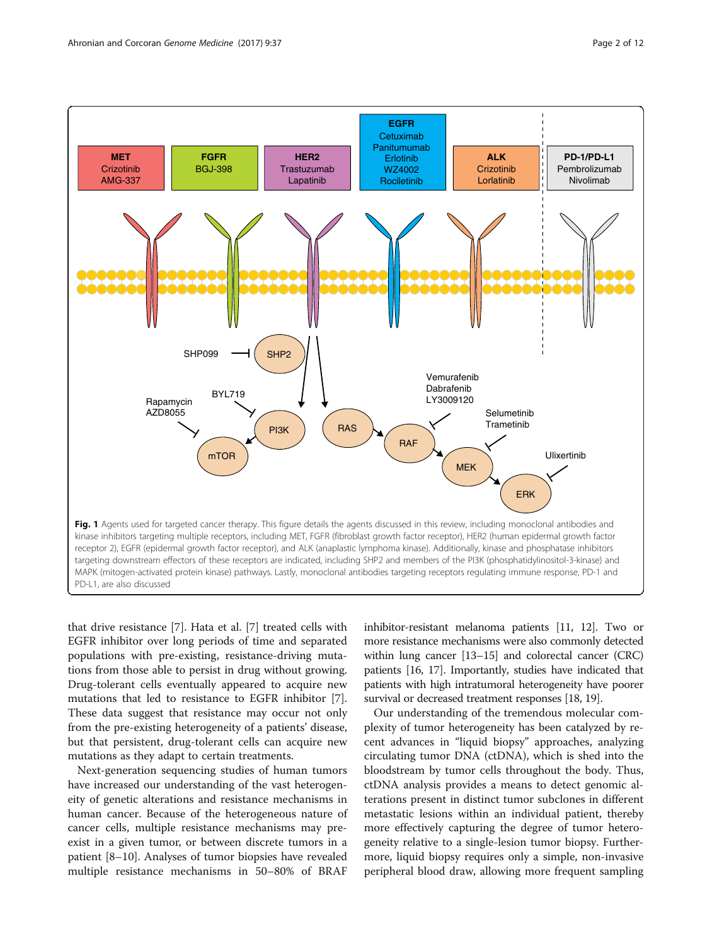<span id="page-1-0"></span>

that drive resistance [\[7\]](#page-9-0). Hata et al. [[7\]](#page-9-0) treated cells with EGFR inhibitor over long periods of time and separated populations with pre-existing, resistance-driving mutations from those able to persist in drug without growing. Drug-tolerant cells eventually appeared to acquire new mutations that led to resistance to EGFR inhibitor [\[7](#page-9-0)]. These data suggest that resistance may occur not only from the pre-existing heterogeneity of a patients' disease, but that persistent, drug-tolerant cells can acquire new mutations as they adapt to certain treatments.

Next-generation sequencing studies of human tumors have increased our understanding of the vast heterogeneity of genetic alterations and resistance mechanisms in human cancer. Because of the heterogeneous nature of cancer cells, multiple resistance mechanisms may preexist in a given tumor, or between discrete tumors in a patient [\[8](#page-9-0)–[10](#page-9-0)]. Analyses of tumor biopsies have revealed multiple resistance mechanisms in 50–80% of BRAF

inhibitor-resistant melanoma patients [\[11, 12](#page-9-0)]. Two or more resistance mechanisms were also commonly detected within lung cancer [\[13](#page-9-0)–[15\]](#page-9-0) and colorectal cancer (CRC) patients [[16](#page-9-0), [17\]](#page-9-0). Importantly, studies have indicated that patients with high intratumoral heterogeneity have poorer survival or decreased treatment responses [\[18, 19](#page-9-0)].

Our understanding of the tremendous molecular complexity of tumor heterogeneity has been catalyzed by recent advances in "liquid biopsy" approaches, analyzing circulating tumor DNA (ctDNA), which is shed into the bloodstream by tumor cells throughout the body. Thus, ctDNA analysis provides a means to detect genomic alterations present in distinct tumor subclones in different metastatic lesions within an individual patient, thereby more effectively capturing the degree of tumor heterogeneity relative to a single-lesion tumor biopsy. Furthermore, liquid biopsy requires only a simple, non-invasive peripheral blood draw, allowing more frequent sampling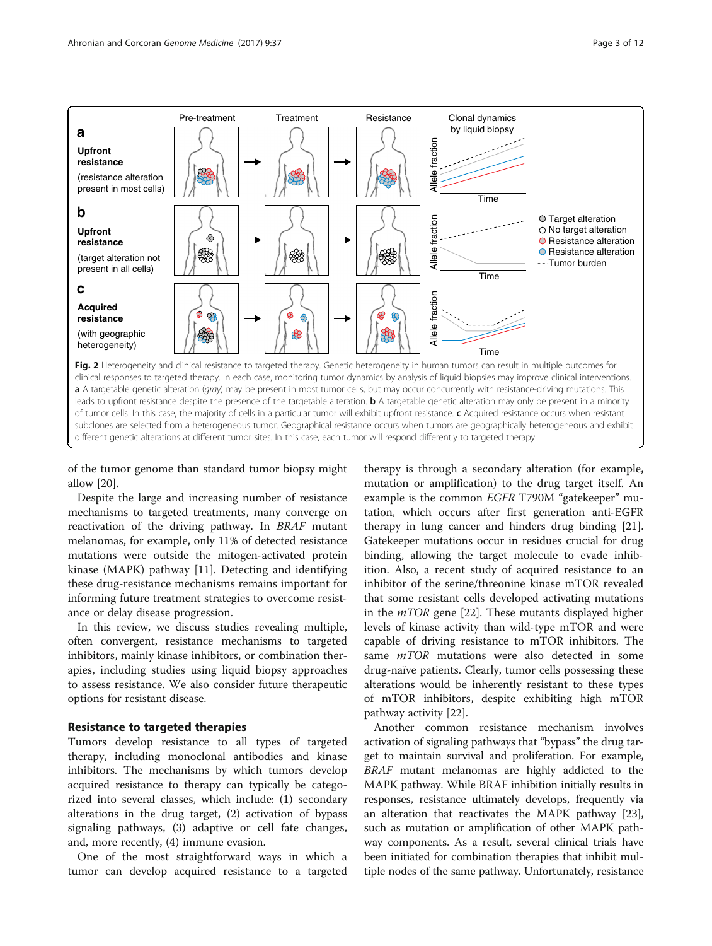<span id="page-2-0"></span>

of the tumor genome than standard tumor biopsy might allow [\[20](#page-9-0)].

Despite the large and increasing number of resistance mechanisms to targeted treatments, many converge on reactivation of the driving pathway. In BRAF mutant melanomas, for example, only 11% of detected resistance mutations were outside the mitogen-activated protein kinase (MAPK) pathway [[11\]](#page-9-0). Detecting and identifying these drug-resistance mechanisms remains important for informing future treatment strategies to overcome resistance or delay disease progression.

In this review, we discuss studies revealing multiple, often convergent, resistance mechanisms to targeted inhibitors, mainly kinase inhibitors, or combination therapies, including studies using liquid biopsy approaches to assess resistance. We also consider future therapeutic options for resistant disease.

## Resistance to targeted therapies

Tumors develop resistance to all types of targeted therapy, including monoclonal antibodies and kinase inhibitors. The mechanisms by which tumors develop acquired resistance to therapy can typically be categorized into several classes, which include: (1) secondary alterations in the drug target, (2) activation of bypass signaling pathways, (3) adaptive or cell fate changes, and, more recently, (4) immune evasion.

One of the most straightforward ways in which a tumor can develop acquired resistance to a targeted

therapy is through a secondary alteration (for example, mutation or amplification) to the drug target itself. An example is the common EGFR T790M "gatekeeper" mutation, which occurs after first generation anti-EGFR therapy in lung cancer and hinders drug binding [\[21](#page-9-0)]. Gatekeeper mutations occur in residues crucial for drug binding, allowing the target molecule to evade inhibition. Also, a recent study of acquired resistance to an inhibitor of the serine/threonine kinase mTOR revealed that some resistant cells developed activating mutations in the  $mTOR$  gene [\[22](#page-9-0)]. These mutants displayed higher levels of kinase activity than wild-type mTOR and were capable of driving resistance to mTOR inhibitors. The same *mTOR* mutations were also detected in some drug-naïve patients. Clearly, tumor cells possessing these alterations would be inherently resistant to these types of mTOR inhibitors, despite exhibiting high mTOR pathway activity [[22](#page-9-0)].

Another common resistance mechanism involves activation of signaling pathways that "bypass" the drug target to maintain survival and proliferation. For example, BRAF mutant melanomas are highly addicted to the MAPK pathway. While BRAF inhibition initially results in responses, resistance ultimately develops, frequently via an alteration that reactivates the MAPK pathway [[23](#page-9-0)], such as mutation or amplification of other MAPK pathway components. As a result, several clinical trials have been initiated for combination therapies that inhibit multiple nodes of the same pathway. Unfortunately, resistance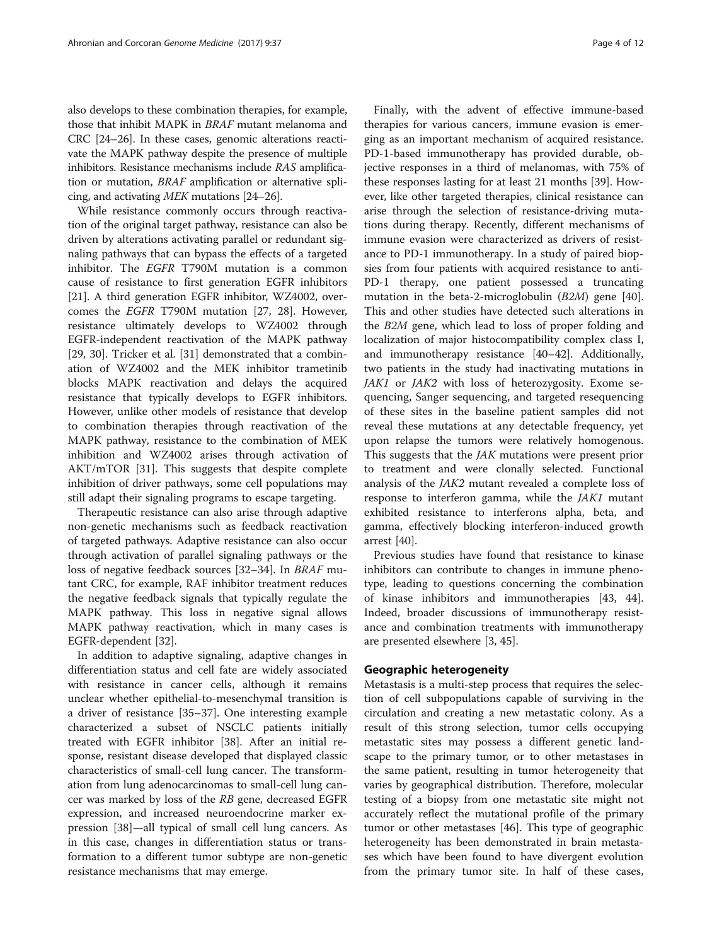also develops to these combination therapies, for example, those that inhibit MAPK in BRAF mutant melanoma and CRC [[24](#page-9-0)–[26\]](#page-9-0). In these cases, genomic alterations reactivate the MAPK pathway despite the presence of multiple inhibitors. Resistance mechanisms include RAS amplification or mutation, BRAF amplification or alternative splicing, and activating MEK mutations [\[24](#page-9-0)–[26](#page-9-0)].

While resistance commonly occurs through reactivation of the original target pathway, resistance can also be driven by alterations activating parallel or redundant signaling pathways that can bypass the effects of a targeted inhibitor. The EGFR T790M mutation is a common cause of resistance to first generation EGFR inhibitors [[21\]](#page-9-0). A third generation EGFR inhibitor, WZ4002, overcomes the EGFR T790M mutation [\[27](#page-9-0), [28](#page-9-0)]. However, resistance ultimately develops to WZ4002 through EGFR-independent reactivation of the MAPK pathway [[29, 30\]](#page-9-0). Tricker et al. [\[31](#page-10-0)] demonstrated that a combination of WZ4002 and the MEK inhibitor trametinib blocks MAPK reactivation and delays the acquired resistance that typically develops to EGFR inhibitors. However, unlike other models of resistance that develop to combination therapies through reactivation of the MAPK pathway, resistance to the combination of MEK inhibition and WZ4002 arises through activation of AKT/mTOR [[31\]](#page-10-0). This suggests that despite complete inhibition of driver pathways, some cell populations may still adapt their signaling programs to escape targeting.

Therapeutic resistance can also arise through adaptive non-genetic mechanisms such as feedback reactivation of targeted pathways. Adaptive resistance can also occur through activation of parallel signaling pathways or the loss of negative feedback sources [[32](#page-10-0)–[34](#page-10-0)]. In BRAF mutant CRC, for example, RAF inhibitor treatment reduces the negative feedback signals that typically regulate the MAPK pathway. This loss in negative signal allows MAPK pathway reactivation, which in many cases is EGFR-dependent [[32\]](#page-10-0).

In addition to adaptive signaling, adaptive changes in differentiation status and cell fate are widely associated with resistance in cancer cells, although it remains unclear whether epithelial-to-mesenchymal transition is a driver of resistance [[35](#page-10-0)–[37](#page-10-0)]. One interesting example characterized a subset of NSCLC patients initially treated with EGFR inhibitor [[38](#page-10-0)]. After an initial response, resistant disease developed that displayed classic characteristics of small-cell lung cancer. The transformation from lung adenocarcinomas to small-cell lung cancer was marked by loss of the RB gene, decreased EGFR expression, and increased neuroendocrine marker expression [\[38\]](#page-10-0)—all typical of small cell lung cancers. As in this case, changes in differentiation status or transformation to a different tumor subtype are non-genetic resistance mechanisms that may emerge.

Finally, with the advent of effective immune-based therapies for various cancers, immune evasion is emerging as an important mechanism of acquired resistance. PD-1-based immunotherapy has provided durable, objective responses in a third of melanomas, with 75% of these responses lasting for at least 21 months [\[39](#page-10-0)]. However, like other targeted therapies, clinical resistance can arise through the selection of resistance-driving mutations during therapy. Recently, different mechanisms of immune evasion were characterized as drivers of resistance to PD-1 immunotherapy. In a study of paired biopsies from four patients with acquired resistance to anti-PD-1 therapy, one patient possessed a truncating mutation in the beta-2-microglobulin (B2M) gene [\[40](#page-10-0)]. This and other studies have detected such alterations in the B2M gene, which lead to loss of proper folding and localization of major histocompatibility complex class I, and immunotherapy resistance [[40](#page-10-0)–[42](#page-10-0)]. Additionally, two patients in the study had inactivating mutations in JAK1 or JAK2 with loss of heterozygosity. Exome sequencing, Sanger sequencing, and targeted resequencing of these sites in the baseline patient samples did not reveal these mutations at any detectable frequency, yet upon relapse the tumors were relatively homogenous. This suggests that the JAK mutations were present prior to treatment and were clonally selected. Functional analysis of the JAK2 mutant revealed a complete loss of response to interferon gamma, while the JAK1 mutant exhibited resistance to interferons alpha, beta, and gamma, effectively blocking interferon-induced growth arrest [[40\]](#page-10-0).

Previous studies have found that resistance to kinase inhibitors can contribute to changes in immune phenotype, leading to questions concerning the combination of kinase inhibitors and immunotherapies [\[43, 44](#page-10-0)]. Indeed, broader discussions of immunotherapy resistance and combination treatments with immunotherapy are presented elsewhere [[3,](#page-9-0) [45](#page-10-0)].

# Geographic heterogeneity

Metastasis is a multi-step process that requires the selection of cell subpopulations capable of surviving in the circulation and creating a new metastatic colony. As a result of this strong selection, tumor cells occupying metastatic sites may possess a different genetic landscape to the primary tumor, or to other metastases in the same patient, resulting in tumor heterogeneity that varies by geographical distribution. Therefore, molecular testing of a biopsy from one metastatic site might not accurately reflect the mutational profile of the primary tumor or other metastases [[46](#page-10-0)]. This type of geographic heterogeneity has been demonstrated in brain metastases which have been found to have divergent evolution from the primary tumor site. In half of these cases,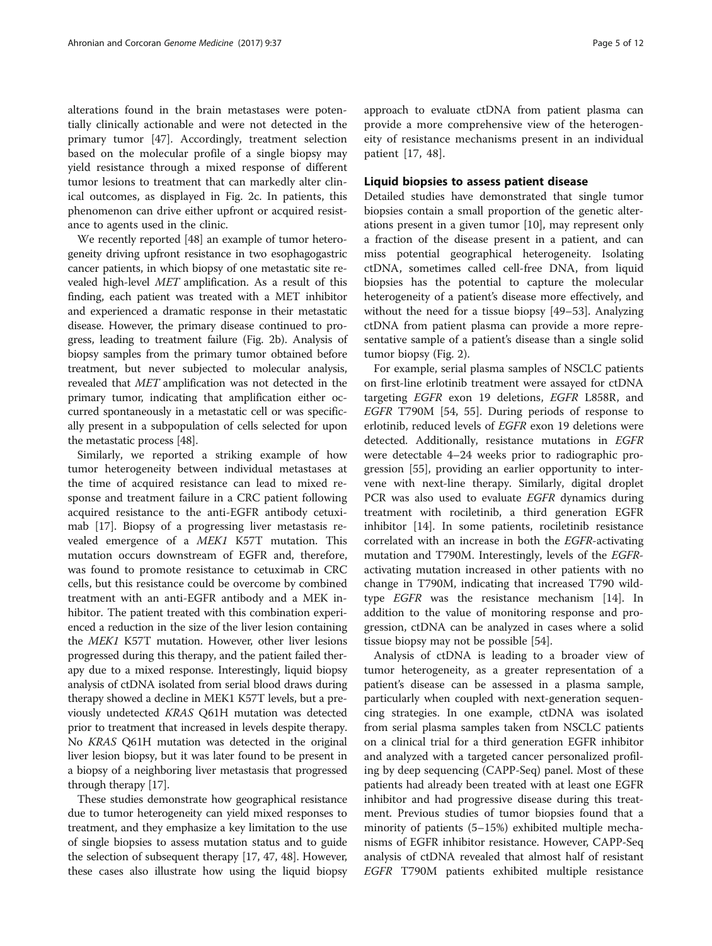alterations found in the brain metastases were potentially clinically actionable and were not detected in the primary tumor [[47](#page-10-0)]. Accordingly, treatment selection based on the molecular profile of a single biopsy may yield resistance through a mixed response of different tumor lesions to treatment that can markedly alter clinical outcomes, as displayed in Fig. [2c.](#page-2-0) In patients, this phenomenon can drive either upfront or acquired resistance to agents used in the clinic.

We recently reported [\[48\]](#page-10-0) an example of tumor heterogeneity driving upfront resistance in two esophagogastric cancer patients, in which biopsy of one metastatic site revealed high-level MET amplification. As a result of this finding, each patient was treated with a MET inhibitor and experienced a dramatic response in their metastatic disease. However, the primary disease continued to progress, leading to treatment failure (Fig. [2b](#page-2-0)). Analysis of biopsy samples from the primary tumor obtained before treatment, but never subjected to molecular analysis, revealed that MET amplification was not detected in the primary tumor, indicating that amplification either occurred spontaneously in a metastatic cell or was specifically present in a subpopulation of cells selected for upon the metastatic process [[48](#page-10-0)].

Similarly, we reported a striking example of how tumor heterogeneity between individual metastases at the time of acquired resistance can lead to mixed response and treatment failure in a CRC patient following acquired resistance to the anti-EGFR antibody cetuximab [[17](#page-9-0)]. Biopsy of a progressing liver metastasis revealed emergence of a MEK1 K57T mutation. This mutation occurs downstream of EGFR and, therefore, was found to promote resistance to cetuximab in CRC cells, but this resistance could be overcome by combined treatment with an anti-EGFR antibody and a MEK inhibitor. The patient treated with this combination experienced a reduction in the size of the liver lesion containing the MEK1 K57T mutation. However, other liver lesions progressed during this therapy, and the patient failed therapy due to a mixed response. Interestingly, liquid biopsy analysis of ctDNA isolated from serial blood draws during therapy showed a decline in MEK1 K57T levels, but a previously undetected KRAS Q61H mutation was detected prior to treatment that increased in levels despite therapy. No KRAS Q61H mutation was detected in the original liver lesion biopsy, but it was later found to be present in a biopsy of a neighboring liver metastasis that progressed through therapy [\[17\]](#page-9-0).

These studies demonstrate how geographical resistance due to tumor heterogeneity can yield mixed responses to treatment, and they emphasize a key limitation to the use of single biopsies to assess mutation status and to guide the selection of subsequent therapy [[17](#page-9-0), [47](#page-10-0), [48\]](#page-10-0). However, these cases also illustrate how using the liquid biopsy

approach to evaluate ctDNA from patient plasma can provide a more comprehensive view of the heterogeneity of resistance mechanisms present in an individual patient [[17,](#page-9-0) [48](#page-10-0)].

#### Liquid biopsies to assess patient disease

Detailed studies have demonstrated that single tumor biopsies contain a small proportion of the genetic alterations present in a given tumor [\[10\]](#page-9-0), may represent only a fraction of the disease present in a patient, and can miss potential geographical heterogeneity. Isolating ctDNA, sometimes called cell-free DNA, from liquid biopsies has the potential to capture the molecular heterogeneity of a patient's disease more effectively, and without the need for a tissue biopsy [\[49](#page-10-0)–[53\]](#page-10-0). Analyzing ctDNA from patient plasma can provide a more representative sample of a patient's disease than a single solid tumor biopsy (Fig. [2\)](#page-2-0).

For example, serial plasma samples of NSCLC patients on first-line erlotinib treatment were assayed for ctDNA targeting EGFR exon 19 deletions, EGFR L858R, and EGFR T790M [\[54](#page-10-0), [55](#page-10-0)]. During periods of response to erlotinib, reduced levels of EGFR exon 19 deletions were detected. Additionally, resistance mutations in EGFR were detectable 4–24 weeks prior to radiographic progression [\[55](#page-10-0)], providing an earlier opportunity to intervene with next-line therapy. Similarly, digital droplet PCR was also used to evaluate *EGFR* dynamics during treatment with rociletinib, a third generation EGFR inhibitor [[14\]](#page-9-0). In some patients, rociletinib resistance correlated with an increase in both the EGFR-activating mutation and T790M. Interestingly, levels of the EGFRactivating mutation increased in other patients with no change in T790M, indicating that increased T790 wildtype EGFR was the resistance mechanism [\[14](#page-9-0)]. In addition to the value of monitoring response and progression, ctDNA can be analyzed in cases where a solid tissue biopsy may not be possible [\[54](#page-10-0)].

Analysis of ctDNA is leading to a broader view of tumor heterogeneity, as a greater representation of a patient's disease can be assessed in a plasma sample, particularly when coupled with next-generation sequencing strategies. In one example, ctDNA was isolated from serial plasma samples taken from NSCLC patients on a clinical trial for a third generation EGFR inhibitor and analyzed with a targeted cancer personalized profiling by deep sequencing (CAPP-Seq) panel. Most of these patients had already been treated with at least one EGFR inhibitor and had progressive disease during this treatment. Previous studies of tumor biopsies found that a minority of patients (5–15%) exhibited multiple mechanisms of EGFR inhibitor resistance. However, CAPP-Seq analysis of ctDNA revealed that almost half of resistant EGFR T790M patients exhibited multiple resistance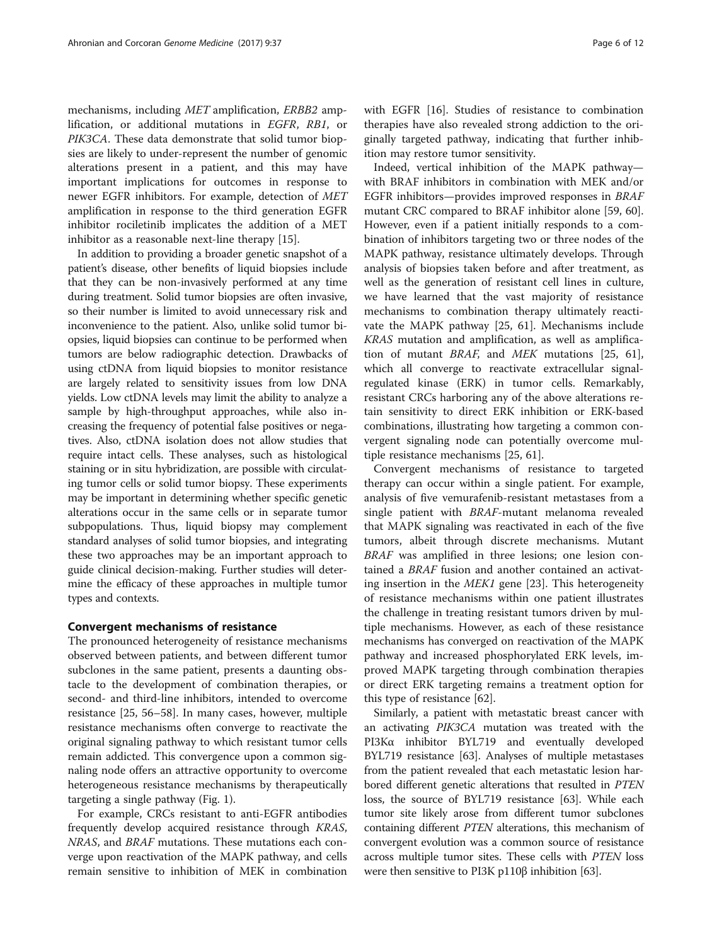mechanisms, including MET amplification, ERBB2 amplification, or additional mutations in EGFR, RB1, or PIK3CA. These data demonstrate that solid tumor biopsies are likely to under-represent the number of genomic alterations present in a patient, and this may have important implications for outcomes in response to newer EGFR inhibitors. For example, detection of MET amplification in response to the third generation EGFR inhibitor rociletinib implicates the addition of a MET inhibitor as a reasonable next-line therapy [[15\]](#page-9-0).

In addition to providing a broader genetic snapshot of a patient's disease, other benefits of liquid biopsies include that they can be non-invasively performed at any time during treatment. Solid tumor biopsies are often invasive, so their number is limited to avoid unnecessary risk and inconvenience to the patient. Also, unlike solid tumor biopsies, liquid biopsies can continue to be performed when tumors are below radiographic detection. Drawbacks of using ctDNA from liquid biopsies to monitor resistance are largely related to sensitivity issues from low DNA yields. Low ctDNA levels may limit the ability to analyze a sample by high-throughput approaches, while also increasing the frequency of potential false positives or negatives. Also, ctDNA isolation does not allow studies that require intact cells. These analyses, such as histological staining or in situ hybridization, are possible with circulating tumor cells or solid tumor biopsy. These experiments may be important in determining whether specific genetic alterations occur in the same cells or in separate tumor subpopulations. Thus, liquid biopsy may complement standard analyses of solid tumor biopsies, and integrating these two approaches may be an important approach to guide clinical decision-making. Further studies will determine the efficacy of these approaches in multiple tumor types and contexts.

## Convergent mechanisms of resistance

The pronounced heterogeneity of resistance mechanisms observed between patients, and between different tumor subclones in the same patient, presents a daunting obstacle to the development of combination therapies, or second- and third-line inhibitors, intended to overcome resistance [\[25](#page-9-0), [56](#page-10-0)–[58](#page-10-0)]. In many cases, however, multiple resistance mechanisms often converge to reactivate the original signaling pathway to which resistant tumor cells remain addicted. This convergence upon a common signaling node offers an attractive opportunity to overcome heterogeneous resistance mechanisms by therapeutically targeting a single pathway (Fig. [1\)](#page-1-0).

For example, CRCs resistant to anti-EGFR antibodies frequently develop acquired resistance through KRAS, NRAS, and BRAF mutations. These mutations each converge upon reactivation of the MAPK pathway, and cells remain sensitive to inhibition of MEK in combination

with EGFR [\[16\]](#page-9-0). Studies of resistance to combination therapies have also revealed strong addiction to the originally targeted pathway, indicating that further inhibition may restore tumor sensitivity.

Indeed, vertical inhibition of the MAPK pathway with BRAF inhibitors in combination with MEK and/or EGFR inhibitors—provides improved responses in BRAF mutant CRC compared to BRAF inhibitor alone [\[59](#page-10-0), [60](#page-10-0)]. However, even if a patient initially responds to a combination of inhibitors targeting two or three nodes of the MAPK pathway, resistance ultimately develops. Through analysis of biopsies taken before and after treatment, as well as the generation of resistant cell lines in culture, we have learned that the vast majority of resistance mechanisms to combination therapy ultimately reactivate the MAPK pathway [[25,](#page-9-0) [61](#page-10-0)]. Mechanisms include KRAS mutation and amplification, as well as amplification of mutant BRAF, and MEK mutations [[25](#page-9-0), [61](#page-10-0)], which all converge to reactivate extracellular signalregulated kinase (ERK) in tumor cells. Remarkably, resistant CRCs harboring any of the above alterations retain sensitivity to direct ERK inhibition or ERK-based combinations, illustrating how targeting a common convergent signaling node can potentially overcome multiple resistance mechanisms [\[25,](#page-9-0) [61\]](#page-10-0).

Convergent mechanisms of resistance to targeted therapy can occur within a single patient. For example, analysis of five vemurafenib-resistant metastases from a single patient with BRAF-mutant melanoma revealed that MAPK signaling was reactivated in each of the five tumors, albeit through discrete mechanisms. Mutant BRAF was amplified in three lesions; one lesion contained a BRAF fusion and another contained an activating insertion in the MEK1 gene [\[23](#page-9-0)]. This heterogeneity of resistance mechanisms within one patient illustrates the challenge in treating resistant tumors driven by multiple mechanisms. However, as each of these resistance mechanisms has converged on reactivation of the MAPK pathway and increased phosphorylated ERK levels, improved MAPK targeting through combination therapies or direct ERK targeting remains a treatment option for this type of resistance [[62](#page-10-0)].

Similarly, a patient with metastatic breast cancer with an activating PIK3CA mutation was treated with the PI3Kα inhibitor BYL719 and eventually developed BYL719 resistance [\[63\]](#page-10-0). Analyses of multiple metastases from the patient revealed that each metastatic lesion harbored different genetic alterations that resulted in PTEN loss, the source of BYL719 resistance [[63](#page-10-0)]. While each tumor site likely arose from different tumor subclones containing different PTEN alterations, this mechanism of convergent evolution was a common source of resistance across multiple tumor sites. These cells with PTEN loss were then sensitive to PI3K p110β inhibition [\[63](#page-10-0)].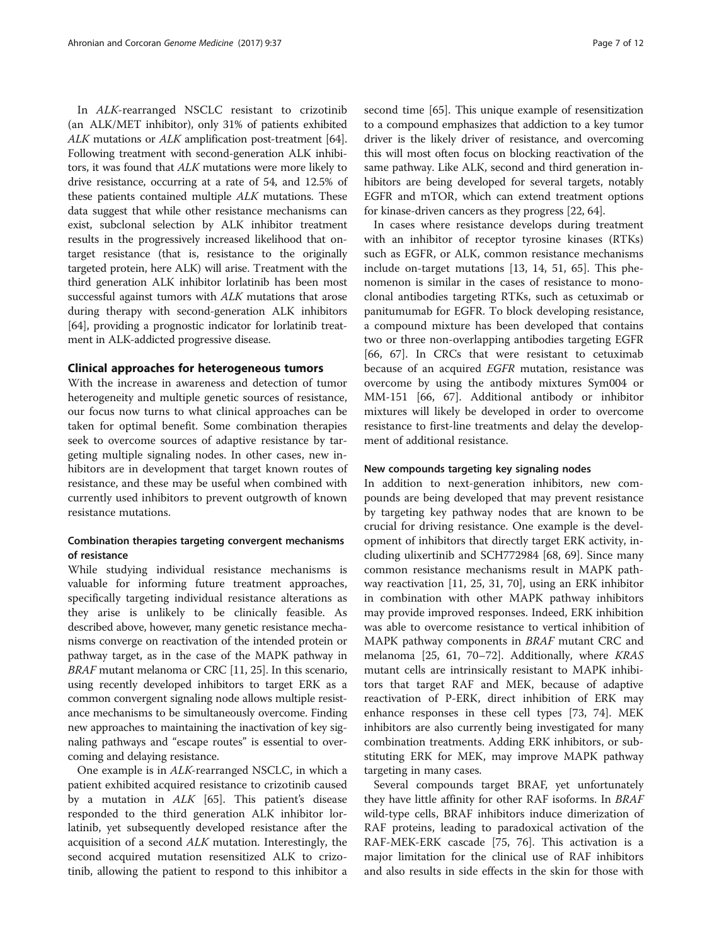In ALK-rearranged NSCLC resistant to crizotinib (an ALK/MET inhibitor), only 31% of patients exhibited ALK mutations or ALK amplification post-treatment [[64](#page-10-0)]. Following treatment with second-generation ALK inhibitors, it was found that ALK mutations were more likely to drive resistance, occurring at a rate of 54, and 12.5% of these patients contained multiple ALK mutations. These data suggest that while other resistance mechanisms can exist, subclonal selection by ALK inhibitor treatment results in the progressively increased likelihood that ontarget resistance (that is, resistance to the originally targeted protein, here ALK) will arise. Treatment with the third generation ALK inhibitor lorlatinib has been most successful against tumors with ALK mutations that arose during therapy with second-generation ALK inhibitors [[64](#page-10-0)], providing a prognostic indicator for lorlatinib treatment in ALK-addicted progressive disease.

#### Clinical approaches for heterogeneous tumors

With the increase in awareness and detection of tumor heterogeneity and multiple genetic sources of resistance, our focus now turns to what clinical approaches can be taken for optimal benefit. Some combination therapies seek to overcome sources of adaptive resistance by targeting multiple signaling nodes. In other cases, new inhibitors are in development that target known routes of resistance, and these may be useful when combined with currently used inhibitors to prevent outgrowth of known resistance mutations.

# Combination therapies targeting convergent mechanisms of resistance

While studying individual resistance mechanisms is valuable for informing future treatment approaches, specifically targeting individual resistance alterations as they arise is unlikely to be clinically feasible. As described above, however, many genetic resistance mechanisms converge on reactivation of the intended protein or pathway target, as in the case of the MAPK pathway in BRAF mutant melanoma or CRC [\[11, 25](#page-9-0)]. In this scenario, using recently developed inhibitors to target ERK as a common convergent signaling node allows multiple resistance mechanisms to be simultaneously overcome. Finding new approaches to maintaining the inactivation of key signaling pathways and "escape routes" is essential to overcoming and delaying resistance.

One example is in ALK-rearranged NSCLC, in which a patient exhibited acquired resistance to crizotinib caused by a mutation in *ALK* [[65](#page-10-0)]. This patient's disease responded to the third generation ALK inhibitor lorlatinib, yet subsequently developed resistance after the acquisition of a second ALK mutation. Interestingly, the second acquired mutation resensitized ALK to crizotinib, allowing the patient to respond to this inhibitor a second time [\[65\]](#page-10-0). This unique example of resensitization to a compound emphasizes that addiction to a key tumor driver is the likely driver of resistance, and overcoming this will most often focus on blocking reactivation of the same pathway. Like ALK, second and third generation inhibitors are being developed for several targets, notably EGFR and mTOR, which can extend treatment options for kinase-driven cancers as they progress [\[22,](#page-9-0) [64](#page-10-0)].

In cases where resistance develops during treatment with an inhibitor of receptor tyrosine kinases (RTKs) such as EGFR, or ALK, common resistance mechanisms include on-target mutations [\[13](#page-9-0), [14,](#page-9-0) [51, 65\]](#page-10-0). This phenomenon is similar in the cases of resistance to monoclonal antibodies targeting RTKs, such as cetuximab or panitumumab for EGFR. To block developing resistance, a compound mixture has been developed that contains two or three non-overlapping antibodies targeting EGFR [[66, 67](#page-10-0)]. In CRCs that were resistant to cetuximab because of an acquired EGFR mutation, resistance was overcome by using the antibody mixtures Sym004 or MM-151 [[66, 67\]](#page-10-0). Additional antibody or inhibitor mixtures will likely be developed in order to overcome resistance to first-line treatments and delay the development of additional resistance.

#### New compounds targeting key signaling nodes

In addition to next-generation inhibitors, new compounds are being developed that may prevent resistance by targeting key pathway nodes that are known to be crucial for driving resistance. One example is the development of inhibitors that directly target ERK activity, including ulixertinib and SCH772984 [\[68](#page-10-0), [69](#page-10-0)]. Since many common resistance mechanisms result in MAPK pathway reactivation [\[11, 25](#page-9-0), [31, 70](#page-10-0)], using an ERK inhibitor in combination with other MAPK pathway inhibitors may provide improved responses. Indeed, ERK inhibition was able to overcome resistance to vertical inhibition of MAPK pathway components in BRAF mutant CRC and melanoma [[25,](#page-9-0) [61](#page-10-0), [70](#page-10-0)–[72](#page-10-0)]. Additionally, where KRAS mutant cells are intrinsically resistant to MAPK inhibitors that target RAF and MEK, because of adaptive reactivation of P-ERK, direct inhibition of ERK may enhance responses in these cell types [\[73, 74](#page-10-0)]. MEK inhibitors are also currently being investigated for many combination treatments. Adding ERK inhibitors, or substituting ERK for MEK, may improve MAPK pathway targeting in many cases.

Several compounds target BRAF, yet unfortunately they have little affinity for other RAF isoforms. In BRAF wild-type cells, BRAF inhibitors induce dimerization of RAF proteins, leading to paradoxical activation of the RAF-MEK-ERK cascade [[75, 76](#page-11-0)]. This activation is a major limitation for the clinical use of RAF inhibitors and also results in side effects in the skin for those with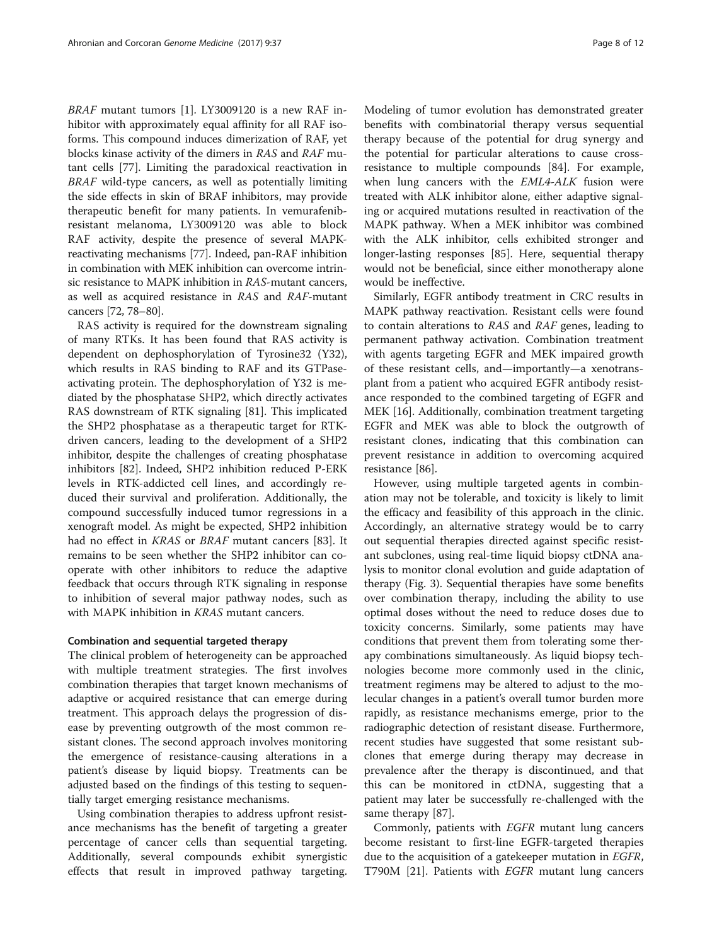BRAF mutant tumors [\[1](#page-9-0)]. LY3009120 is a new RAF inhibitor with approximately equal affinity for all RAF isoforms. This compound induces dimerization of RAF, yet blocks kinase activity of the dimers in RAS and RAF mutant cells [[77\]](#page-11-0). Limiting the paradoxical reactivation in BRAF wild-type cancers, as well as potentially limiting the side effects in skin of BRAF inhibitors, may provide therapeutic benefit for many patients. In vemurafenibresistant melanoma, LY3009120 was able to block RAF activity, despite the presence of several MAPKreactivating mechanisms [[77](#page-11-0)]. Indeed, pan-RAF inhibition in combination with MEK inhibition can overcome intrinsic resistance to MAPK inhibition in RAS-mutant cancers, as well as acquired resistance in RAS and RAF-mutant cancers [\[72,](#page-10-0) [78](#page-11-0)–[80\]](#page-11-0).

RAS activity is required for the downstream signaling of many RTKs. It has been found that RAS activity is dependent on dephosphorylation of Tyrosine32 (Y32), which results in RAS binding to RAF and its GTPaseactivating protein. The dephosphorylation of Y32 is mediated by the phosphatase SHP2, which directly activates RAS downstream of RTK signaling [\[81\]](#page-11-0). This implicated the SHP2 phosphatase as a therapeutic target for RTKdriven cancers, leading to the development of a SHP2 inhibitor, despite the challenges of creating phosphatase inhibitors [\[82\]](#page-11-0). Indeed, SHP2 inhibition reduced P-ERK levels in RTK-addicted cell lines, and accordingly reduced their survival and proliferation. Additionally, the compound successfully induced tumor regressions in a xenograft model. As might be expected, SHP2 inhibition had no effect in KRAS or BRAF mutant cancers [\[83](#page-11-0)]. It remains to be seen whether the SHP2 inhibitor can cooperate with other inhibitors to reduce the adaptive feedback that occurs through RTK signaling in response to inhibition of several major pathway nodes, such as with MAPK inhibition in KRAS mutant cancers.

#### Combination and sequential targeted therapy

The clinical problem of heterogeneity can be approached with multiple treatment strategies. The first involves combination therapies that target known mechanisms of adaptive or acquired resistance that can emerge during treatment. This approach delays the progression of disease by preventing outgrowth of the most common resistant clones. The second approach involves monitoring the emergence of resistance-causing alterations in a patient's disease by liquid biopsy. Treatments can be adjusted based on the findings of this testing to sequentially target emerging resistance mechanisms.

Using combination therapies to address upfront resistance mechanisms has the benefit of targeting a greater percentage of cancer cells than sequential targeting. Additionally, several compounds exhibit synergistic effects that result in improved pathway targeting. Modeling of tumor evolution has demonstrated greater benefits with combinatorial therapy versus sequential therapy because of the potential for drug synergy and the potential for particular alterations to cause crossresistance to multiple compounds [[84](#page-11-0)]. For example, when lung cancers with the EML4-ALK fusion were treated with ALK inhibitor alone, either adaptive signaling or acquired mutations resulted in reactivation of the MAPK pathway. When a MEK inhibitor was combined with the ALK inhibitor, cells exhibited stronger and longer-lasting responses [[85\]](#page-11-0). Here, sequential therapy would not be beneficial, since either monotherapy alone would be ineffective.

Similarly, EGFR antibody treatment in CRC results in MAPK pathway reactivation. Resistant cells were found to contain alterations to RAS and RAF genes, leading to permanent pathway activation. Combination treatment with agents targeting EGFR and MEK impaired growth of these resistant cells, and—importantly—a xenotransplant from a patient who acquired EGFR antibody resistance responded to the combined targeting of EGFR and MEK [[16\]](#page-9-0). Additionally, combination treatment targeting EGFR and MEK was able to block the outgrowth of resistant clones, indicating that this combination can prevent resistance in addition to overcoming acquired resistance [[86\]](#page-11-0).

However, using multiple targeted agents in combination may not be tolerable, and toxicity is likely to limit the efficacy and feasibility of this approach in the clinic. Accordingly, an alternative strategy would be to carry out sequential therapies directed against specific resistant subclones, using real-time liquid biopsy ctDNA analysis to monitor clonal evolution and guide adaptation of therapy (Fig. [3\)](#page-8-0). Sequential therapies have some benefits over combination therapy, including the ability to use optimal doses without the need to reduce doses due to toxicity concerns. Similarly, some patients may have conditions that prevent them from tolerating some therapy combinations simultaneously. As liquid biopsy technologies become more commonly used in the clinic, treatment regimens may be altered to adjust to the molecular changes in a patient's overall tumor burden more rapidly, as resistance mechanisms emerge, prior to the radiographic detection of resistant disease. Furthermore, recent studies have suggested that some resistant subclones that emerge during therapy may decrease in prevalence after the therapy is discontinued, and that this can be monitored in ctDNA, suggesting that a patient may later be successfully re-challenged with the same therapy [\[87\]](#page-11-0).

Commonly, patients with EGFR mutant lung cancers become resistant to first-line EGFR-targeted therapies due to the acquisition of a gatekeeper mutation in EGFR, T790M [[21\]](#page-9-0). Patients with EGFR mutant lung cancers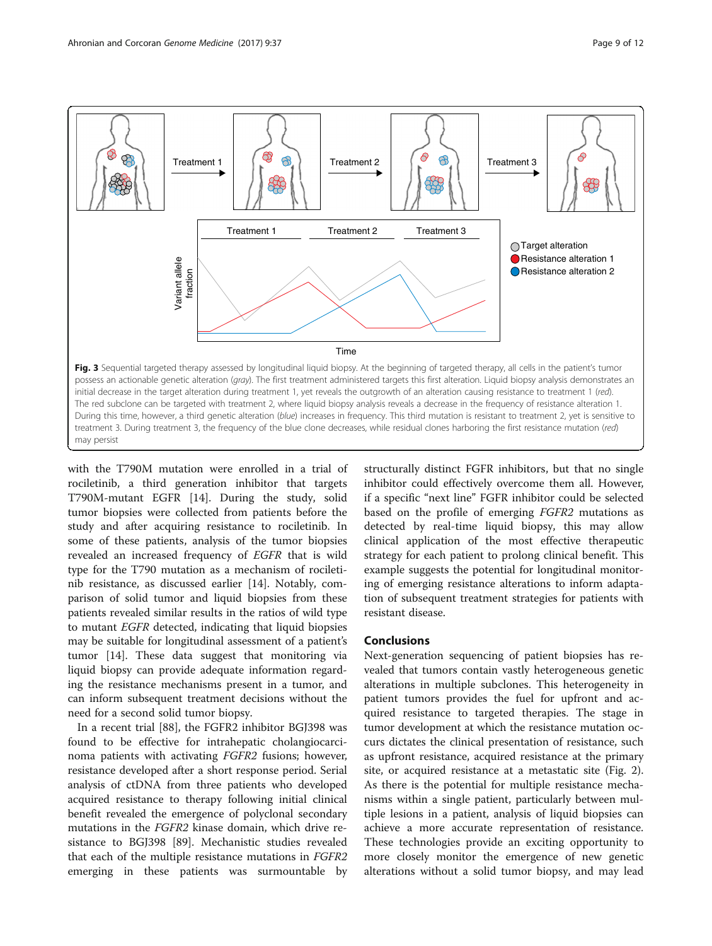<span id="page-8-0"></span>

with the T790M mutation were enrolled in a trial of rociletinib, a third generation inhibitor that targets T790M-mutant EGFR [[14](#page-9-0)]. During the study, solid tumor biopsies were collected from patients before the study and after acquiring resistance to rociletinib. In some of these patients, analysis of the tumor biopsies revealed an increased frequency of EGFR that is wild type for the T790 mutation as a mechanism of rociletinib resistance, as discussed earlier [[14](#page-9-0)]. Notably, comparison of solid tumor and liquid biopsies from these patients revealed similar results in the ratios of wild type to mutant EGFR detected, indicating that liquid biopsies may be suitable for longitudinal assessment of a patient's tumor [[14\]](#page-9-0). These data suggest that monitoring via liquid biopsy can provide adequate information regarding the resistance mechanisms present in a tumor, and can inform subsequent treatment decisions without the need for a second solid tumor biopsy.

In a recent trial [\[88\]](#page-11-0), the FGFR2 inhibitor BGJ398 was found to be effective for intrahepatic cholangiocarcinoma patients with activating FGFR2 fusions; however, resistance developed after a short response period. Serial analysis of ctDNA from three patients who developed acquired resistance to therapy following initial clinical benefit revealed the emergence of polyclonal secondary mutations in the FGFR2 kinase domain, which drive resistance to BGJ398 [\[89](#page-11-0)]. Mechanistic studies revealed that each of the multiple resistance mutations in FGFR2 emerging in these patients was surmountable by

structurally distinct FGFR inhibitors, but that no single inhibitor could effectively overcome them all. However, if a specific "next line" FGFR inhibitor could be selected based on the profile of emerging FGFR2 mutations as detected by real-time liquid biopsy, this may allow clinical application of the most effective therapeutic strategy for each patient to prolong clinical benefit. This example suggests the potential for longitudinal monitoring of emerging resistance alterations to inform adaptation of subsequent treatment strategies for patients with resistant disease.

## Conclusions

Next-generation sequencing of patient biopsies has revealed that tumors contain vastly heterogeneous genetic alterations in multiple subclones. This heterogeneity in patient tumors provides the fuel for upfront and acquired resistance to targeted therapies. The stage in tumor development at which the resistance mutation occurs dictates the clinical presentation of resistance, such as upfront resistance, acquired resistance at the primary site, or acquired resistance at a metastatic site (Fig. [2](#page-2-0)). As there is the potential for multiple resistance mechanisms within a single patient, particularly between multiple lesions in a patient, analysis of liquid biopsies can achieve a more accurate representation of resistance. These technologies provide an exciting opportunity to more closely monitor the emergence of new genetic alterations without a solid tumor biopsy, and may lead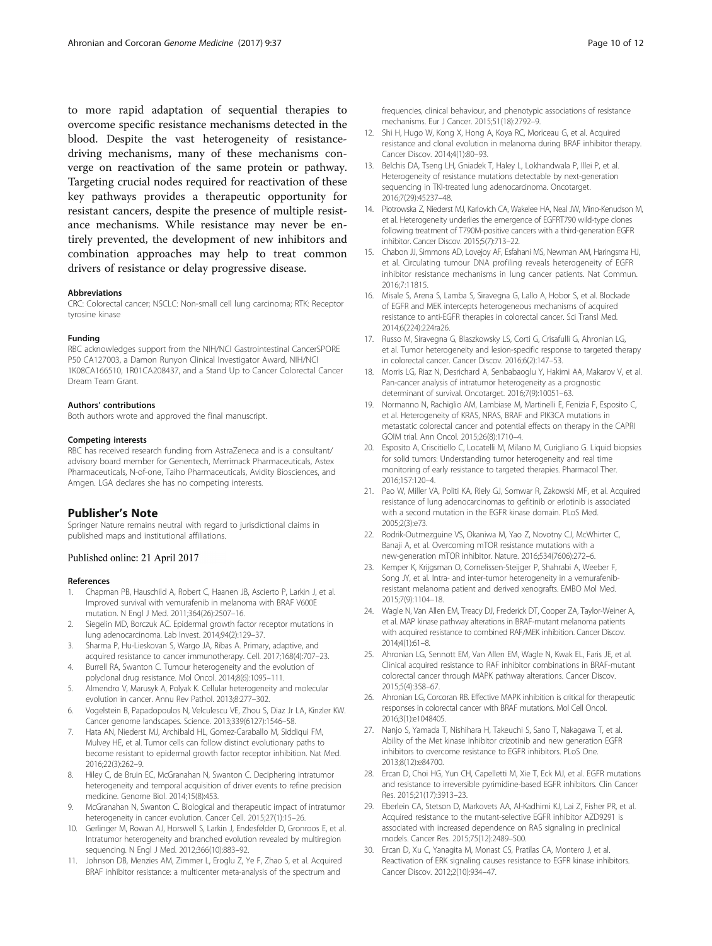<span id="page-9-0"></span>to more rapid adaptation of sequential therapies to overcome specific resistance mechanisms detected in the blood. Despite the vast heterogeneity of resistancedriving mechanisms, many of these mechanisms converge on reactivation of the same protein or pathway. Targeting crucial nodes required for reactivation of these key pathways provides a therapeutic opportunity for resistant cancers, despite the presence of multiple resistance mechanisms. While resistance may never be entirely prevented, the development of new inhibitors and combination approaches may help to treat common drivers of resistance or delay progressive disease.

#### Abbreviations

CRC: Colorectal cancer; NSCLC: Non-small cell lung carcinoma; RTK: Receptor tyrosine kinase

#### Funding

RBC acknowledges support from the NIH/NCI Gastrointestinal CancerSPORE P50 CA127003, a Damon Runyon Clinical Investigator Award, NIH/NCI 1K08CA166510, 1R01CA208437, and a Stand Up to Cancer Colorectal Cancer Dream Team Grant.

#### Authors' contributions

Both authors wrote and approved the final manuscript.

#### Competing interests

RBC has received research funding from AstraZeneca and is a consultant/ advisory board member for Genentech, Merrimack Pharmaceuticals, Astex Pharmaceuticals, N-of-one, Taiho Pharmaceuticals, Avidity Biosciences, and Amgen. LGA declares she has no competing interests.

#### Publisher's Note

Springer Nature remains neutral with regard to jurisdictional claims in published maps and institutional affiliations.

#### Published online: 21 April 2017

#### References

- 1. Chapman PB, Hauschild A, Robert C, Haanen JB, Ascierto P, Larkin J, et al. Improved survival with vemurafenib in melanoma with BRAF V600E mutation. N Engl J Med. 2011;364(26):2507–16.
- Siegelin MD, Borczuk AC. Epidermal growth factor receptor mutations in lung adenocarcinoma. Lab Invest. 2014;94(2):129–37.
- 3. Sharma P, Hu-Lieskovan S, Wargo JA, Ribas A. Primary, adaptive, and acquired resistance to cancer immunotherapy. Cell. 2017;168(4):707–23.
- 4. Burrell RA, Swanton C. Tumour heterogeneity and the evolution of polyclonal drug resistance. Mol Oncol. 2014;8(6):1095–111.
- 5. Almendro V, Marusyk A, Polyak K. Cellular heterogeneity and molecular evolution in cancer. Annu Rev Pathol. 2013;8:277–302.
- 6. Vogelstein B, Papadopoulos N, Velculescu VE, Zhou S, Diaz Jr LA, Kinzler KW. Cancer genome landscapes. Science. 2013;339(6127):1546–58.
- 7. Hata AN, Niederst MJ, Archibald HL, Gomez-Caraballo M, Siddiqui FM, Mulvey HE, et al. Tumor cells can follow distinct evolutionary paths to become resistant to epidermal growth factor receptor inhibition. Nat Med. 2016;22(3):262–9.
- Hiley C, de Bruin EC, McGranahan N, Swanton C. Deciphering intratumor heterogeneity and temporal acquisition of driver events to refine precision medicine. Genome Biol. 2014;15(8):453.
- 9. McGranahan N, Swanton C. Biological and therapeutic impact of intratumor heterogeneity in cancer evolution. Cancer Cell. 2015;27(1):15–26.
- 10. Gerlinger M, Rowan AJ, Horswell S, Larkin J, Endesfelder D, Gronroos E, et al. Intratumor heterogeneity and branched evolution revealed by multiregion sequencing. N Engl J Med. 2012;366(10):883–92.
- 11. Johnson DB, Menzies AM, Zimmer L, Eroglu Z, Ye F, Zhao S, et al. Acquired BRAF inhibitor resistance: a multicenter meta-analysis of the spectrum and

frequencies, clinical behaviour, and phenotypic associations of resistance mechanisms. Eur J Cancer. 2015;51(18):2792–9.

- 12. Shi H, Hugo W, Kong X, Hong A, Koya RC, Moriceau G, et al. Acquired resistance and clonal evolution in melanoma during BRAF inhibitor therapy. Cancer Discov. 2014;4(1):80–93.
- 13. Belchis DA, Tseng LH, Gniadek T, Haley L, Lokhandwala P, Illei P, et al. Heterogeneity of resistance mutations detectable by next-generation sequencing in TKI-treated lung adenocarcinoma. Oncotarget. 2016;7(29):45237–48.
- 14. Piotrowska Z, Niederst MJ, Karlovich CA, Wakelee HA, Neal JW, Mino-Kenudson M, et al. Heterogeneity underlies the emergence of EGFRT790 wild-type clones following treatment of T790M-positive cancers with a third-generation EGFR inhibitor. Cancer Discov. 2015;5(7):713–22.
- 15. Chabon JJ, Simmons AD, Lovejoy AF, Esfahani MS, Newman AM, Haringsma HJ, et al. Circulating tumour DNA profiling reveals heterogeneity of EGFR inhibitor resistance mechanisms in lung cancer patients. Nat Commun. 2016;7:11815.
- 16. Misale S, Arena S, Lamba S, Siravegna G, Lallo A, Hobor S, et al. Blockade of EGFR and MEK intercepts heterogeneous mechanisms of acquired resistance to anti-EGFR therapies in colorectal cancer. Sci Transl Med. 2014;6(224):224ra26.
- 17. Russo M, Siravegna G, Blaszkowsky LS, Corti G, Crisafulli G, Ahronian LG, et al. Tumor heterogeneity and lesion-specific response to targeted therapy in colorectal cancer. Cancer Discov. 2016;6(2):147–53.
- 18. Morris LG, Riaz N, Desrichard A, Senbabaoglu Y, Hakimi AA, Makarov V, et al. Pan-cancer analysis of intratumor heterogeneity as a prognostic determinant of survival. Oncotarget. 2016;7(9):10051–63.
- 19. Normanno N, Rachiglio AM, Lambiase M, Martinelli E, Fenizia F, Esposito C, et al. Heterogeneity of KRAS, NRAS, BRAF and PIK3CA mutations in metastatic colorectal cancer and potential effects on therapy in the CAPRI GOIM trial. Ann Oncol. 2015;26(8):1710–4.
- 20. Esposito A, Criscitiello C, Locatelli M, Milano M, Curigliano G. Liquid biopsies for solid tumors: Understanding tumor heterogeneity and real time monitoring of early resistance to targeted therapies. Pharmacol Ther. 2016;157:120–4.
- 21. Pao W, Miller VA, Politi KA, Riely GJ, Somwar R, Zakowski MF, et al. Acquired resistance of lung adenocarcinomas to gefitinib or erlotinib is associated with a second mutation in the EGFR kinase domain. PLoS Med. 2005;2(3):e73.
- 22. Rodrik-Outmezguine VS, Okaniwa M, Yao Z, Novotny CJ, McWhirter C, Banaji A, et al. Overcoming mTOR resistance mutations with a new-generation mTOR inhibitor. Nature. 2016;534(7606):272–6.
- 23. Kemper K, Krijgsman O, Cornelissen-Steijger P, Shahrabi A, Weeber F, Song JY, et al. Intra- and inter-tumor heterogeneity in a vemurafenibresistant melanoma patient and derived xenografts. EMBO Mol Med. 2015;7(9):1104–18.
- 24. Wagle N, Van Allen EM, Treacy DJ, Frederick DT, Cooper ZA, Taylor-Weiner A, et al. MAP kinase pathway alterations in BRAF-mutant melanoma patients with acquired resistance to combined RAF/MEK inhibition. Cancer Discov. 2014;4(1):61–8.
- 25. Ahronian LG, Sennott EM, Van Allen EM, Wagle N, Kwak EL, Faris JE, et al. Clinical acquired resistance to RAF inhibitor combinations in BRAF-mutant colorectal cancer through MAPK pathway alterations. Cancer Discov. 2015;5(4):358–67.
- 26. Ahronian LG, Corcoran RB. Effective MAPK inhibition is critical for therapeutic responses in colorectal cancer with BRAF mutations. Mol Cell Oncol. 2016;3(1):e1048405.
- 27. Nanjo S, Yamada T, Nishihara H, Takeuchi S, Sano T, Nakagawa T, et al. Ability of the Met kinase inhibitor crizotinib and new generation EGFR inhibitors to overcome resistance to EGFR inhibitors. PLoS One. 2013;8(12):e84700.
- 28. Ercan D, Choi HG, Yun CH, Capelletti M, Xie T, Eck MJ, et al. EGFR mutations and resistance to irreversible pyrimidine-based EGFR inhibitors. Clin Cancer Res. 2015;21(17):3913–23.
- 29. Eberlein CA, Stetson D, Markovets AA, Al-Kadhimi KJ, Lai Z, Fisher PR, et al. Acquired resistance to the mutant-selective EGFR inhibitor AZD9291 is associated with increased dependence on RAS signaling in preclinical models. Cancer Res. 2015;75(12):2489–500.
- 30. Ercan D, Xu C, Yanagita M, Monast CS, Pratilas CA, Montero J, et al. Reactivation of ERK signaling causes resistance to EGFR kinase inhibitors. Cancer Discov. 2012;2(10):934–47.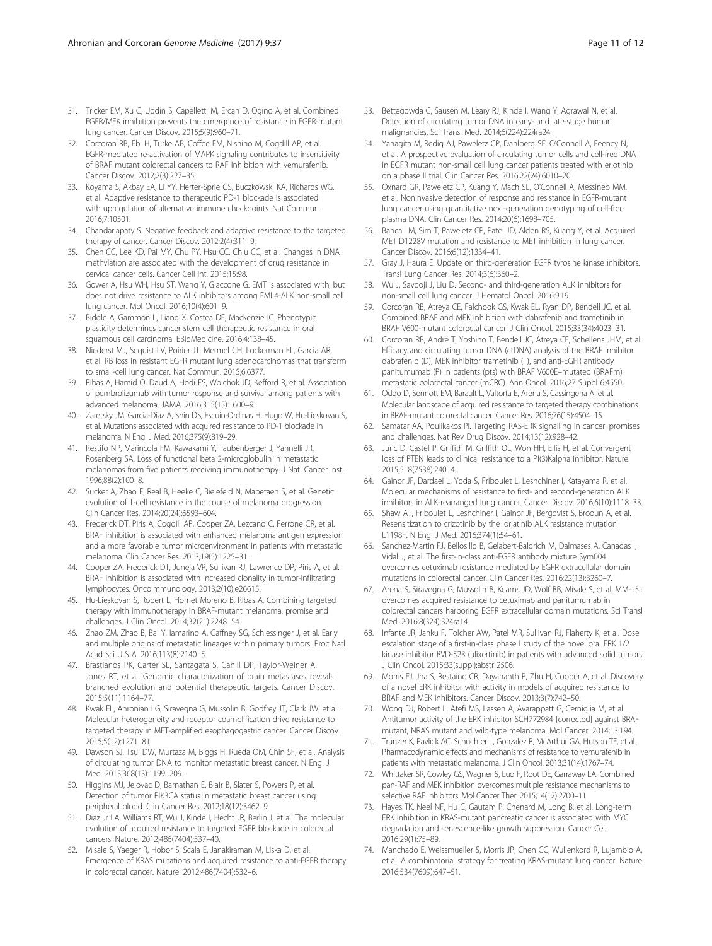- <span id="page-10-0"></span>31. Tricker EM, Xu C, Uddin S, Capelletti M, Ercan D, Ogino A, et al. Combined EGFR/MEK inhibition prevents the emergence of resistance in EGFR-mutant lung cancer. Cancer Discov. 2015;5(9):960–71.
- 32. Corcoran RB, Ebi H, Turke AB, Coffee EM, Nishino M, Cogdill AP, et al. EGFR-mediated re-activation of MAPK signaling contributes to insensitivity of BRAF mutant colorectal cancers to RAF inhibition with vemurafenib. Cancer Discov. 2012;2(3):227–35.
- 33. Koyama S, Akbay EA, Li YY, Herter-Sprie GS, Buczkowski KA, Richards WG, et al. Adaptive resistance to therapeutic PD-1 blockade is associated with upregulation of alternative immune checkpoints. Nat Commun. 2016;7:10501.
- 34. Chandarlapaty S. Negative feedback and adaptive resistance to the targeted therapy of cancer. Cancer Discov. 2012;2(4):311–9.
- 35. Chen CC, Lee KD, Pai MY, Chu PY, Hsu CC, Chiu CC, et al. Changes in DNA methylation are associated with the development of drug resistance in cervical cancer cells. Cancer Cell Int. 2015;15:98.
- 36. Gower A, Hsu WH, Hsu ST, Wang Y, Giaccone G. EMT is associated with, but does not drive resistance to ALK inhibitors among EML4-ALK non-small cell lung cancer. Mol Oncol. 2016;10(4):601–9.
- 37. Biddle A, Gammon L, Liang X, Costea DE, Mackenzie IC. Phenotypic plasticity determines cancer stem cell therapeutic resistance in oral squamous cell carcinoma. EBioMedicine. 2016;4:138–45.
- 38. Niederst MJ, Sequist LV, Poirier JT, Mermel CH, Lockerman EL, Garcia AR, et al. RB loss in resistant EGFR mutant lung adenocarcinomas that transform to small-cell lung cancer. Nat Commun. 2015;6:6377.
- 39. Ribas A, Hamid O, Daud A, Hodi FS, Wolchok JD, Kefford R, et al. Association of pembrolizumab with tumor response and survival among patients with advanced melanoma. JAMA. 2016;315(15):1600–9.
- 40. Zaretsky JM, Garcia-Diaz A, Shin DS, Escuin-Ordinas H, Hugo W, Hu-Lieskovan S, et al. Mutations associated with acquired resistance to PD-1 blockade in melanoma. N Engl J Med. 2016;375(9):819–29.
- 41. Restifo NP, Marincola FM, Kawakami Y, Taubenberger J, Yannelli JR, Rosenberg SA. Loss of functional beta 2-microglobulin in metastatic melanomas from five patients receiving immunotherapy. J Natl Cancer Inst. 1996;88(2):100–8.
- 42. Sucker A, Zhao F, Real B, Heeke C, Bielefeld N, Mabetaen S, et al. Genetic evolution of T-cell resistance in the course of melanoma progression. Clin Cancer Res. 2014;20(24):6593–604.
- 43. Frederick DT, Piris A, Cogdill AP, Cooper ZA, Lezcano C, Ferrone CR, et al. BRAF inhibition is associated with enhanced melanoma antigen expression and a more favorable tumor microenvironment in patients with metastatic melanoma. Clin Cancer Res. 2013;19(5):1225–31.
- 44. Cooper ZA, Frederick DT, Juneja VR, Sullivan RJ, Lawrence DP, Piris A, et al. BRAF inhibition is associated with increased clonality in tumor-infiltrating lymphocytes. Oncoimmunology. 2013;2(10):e26615.
- 45. Hu-Lieskovan S, Robert L, Homet Moreno B, Ribas A. Combining targeted therapy with immunotherapy in BRAF-mutant melanoma: promise and challenges. J Clin Oncol. 2014;32(21):2248–54.
- 46. Zhao ZM, Zhao B, Bai Y, Iamarino A, Gaffney SG, Schlessinger J, et al. Early and multiple origins of metastatic lineages within primary tumors. Proc Natl Acad Sci U S A. 2016;113(8):2140–5.
- 47. Brastianos PK, Carter SL, Santagata S, Cahill DP, Taylor-Weiner A, Jones RT, et al. Genomic characterization of brain metastases reveals branched evolution and potential therapeutic targets. Cancer Discov. 2015;5(11):1164–77.
- 48. Kwak EL, Ahronian LG, Siravegna G, Mussolin B, Godfrey JT, Clark JW, et al. Molecular heterogeneity and receptor coamplification drive resistance to targeted therapy in MET-amplified esophagogastric cancer. Cancer Discov. 2015;5(12):1271–81.
- 49. Dawson SJ, Tsui DW, Murtaza M, Biggs H, Rueda OM, Chin SF, et al. Analysis of circulating tumor DNA to monitor metastatic breast cancer. N Engl J Med. 2013;368(13):1199–209.
- 50. Higgins MJ, Jelovac D, Barnathan E, Blair B, Slater S, Powers P, et al. Detection of tumor PIK3CA status in metastatic breast cancer using peripheral blood. Clin Cancer Res. 2012;18(12):3462–9.
- 51. Diaz Jr LA, Williams RT, Wu J, Kinde I, Hecht JR, Berlin J, et al. The molecular evolution of acquired resistance to targeted EGFR blockade in colorectal cancers. Nature. 2012;486(7404):537–40.
- 52. Misale S, Yaeger R, Hobor S, Scala E, Janakiraman M, Liska D, et al. Emergence of KRAS mutations and acquired resistance to anti-EGFR therapy in colorectal cancer. Nature. 2012;486(7404):532–6.
- 53. Bettegowda C, Sausen M, Leary RJ, Kinde I, Wang Y, Agrawal N, et al. Detection of circulating tumor DNA in early- and late-stage human malignancies. Sci Transl Med. 2014;6(224):224ra24.
- 54. Yanagita M, Redig AJ, Paweletz CP, Dahlberg SE, O'Connell A, Feeney N, et al. A prospective evaluation of circulating tumor cells and cell-free DNA in EGFR mutant non-small cell lung cancer patients treated with erlotinib on a phase II trial. Clin Cancer Res. 2016;22(24):6010–20.
- 55. Oxnard GR, Paweletz CP, Kuang Y, Mach SL, O'Connell A, Messineo MM, et al. Noninvasive detection of response and resistance in EGFR-mutant lung cancer using quantitative next-generation genotyping of cell-free plasma DNA. Clin Cancer Res. 2014;20(6):1698–705.
- 56. Bahcall M, Sim T, Paweletz CP, Patel JD, Alden RS, Kuang Y, et al. Acquired MET D1228V mutation and resistance to MET inhibition in lung cancer. Cancer Discov. 2016;6(12):1334–41.
- 57. Gray J, Haura E. Update on third-generation EGFR tyrosine kinase inhibitors. Transl Lung Cancer Res. 2014;3(6):360–2.
- 58. Wu J, Savooji J, Liu D. Second- and third-generation ALK inhibitors for non-small cell lung cancer. J Hematol Oncol. 2016;9:19.
- 59. Corcoran RB, Atreya CE, Falchook GS, Kwak EL, Ryan DP, Bendell JC, et al. Combined BRAF and MEK inhibition with dabrafenib and trametinib in BRAF V600-mutant colorectal cancer. J Clin Oncol. 2015;33(34):4023–31.
- Corcoran RB, André T, Yoshino T, Bendell JC, Atreya CE, Schellens JHM, et al. Efficacy and circulating tumor DNA (ctDNA) analysis of the BRAF inhibitor dabrafenib (D), MEK inhibitor trametinib (T), and anti-EGFR antibody panitumumab (P) in patients (pts) with BRAF V600E–mutated (BRAFm) metastatic colorectal cancer (mCRC). Ann Oncol. 2016;27 Suppl 6:4550.
- 61. Oddo D, Sennott EM, Barault L, Valtorta E, Arena S, Cassingena A, et al. Molecular landscape of acquired resistance to targeted therapy combinations in BRAF-mutant colorectal cancer. Cancer Res. 2016;76(15):4504–15.
- 62. Samatar AA, Poulikakos PI. Targeting RAS-ERK signalling in cancer: promises and challenges. Nat Rev Drug Discov. 2014;13(12):928–42.
- 63. Juric D, Castel P, Griffith M, Griffith OL, Won HH, Ellis H, et al. Convergent loss of PTEN leads to clinical resistance to a PI(3)Kalpha inhibitor. Nature. 2015;518(7538):240–4.
- 64. Gainor JF, Dardaei L, Yoda S, Friboulet L, Leshchiner I, Katayama R, et al. Molecular mechanisms of resistance to first- and second-generation ALK inhibitors in ALK-rearranged lung cancer. Cancer Discov. 2016;6(10):1118–33.
- 65. Shaw AT, Friboulet L, Leshchiner I, Gainor JF, Bergqvist S, Brooun A, et al. Resensitization to crizotinib by the lorlatinib ALK resistance mutation L1198F. N Engl J Med. 2016;374(1):54–61.
- 66. Sanchez-Martin FJ, Bellosillo B, Gelabert-Baldrich M, Dalmases A, Canadas I, Vidal J, et al. The first-in-class anti-EGFR antibody mixture Sym004 overcomes cetuximab resistance mediated by EGFR extracellular domain mutations in colorectal cancer. Clin Cancer Res. 2016;22(13):3260–7.
- 67. Arena S, Siravegna G, Mussolin B, Kearns JD, Wolf BB, Misale S, et al. MM-151 overcomes acquired resistance to cetuximab and panitumumab in colorectal cancers harboring EGFR extracellular domain mutations. Sci Transl Med. 2016;8(324):324ra14.
- 68. Infante JR, Janku F, Tolcher AW, Patel MR, Sullivan RJ, Flaherty K, et al. Dose escalation stage of a first-in-class phase I study of the novel oral ERK 1/2 kinase inhibitor BVD-523 (ulixertinib) in patients with advanced solid tumors. J Clin Oncol. 2015;33(suppl):abstr 2506.
- 69. Morris EJ, Jha S, Restaino CR, Dayananth P, Zhu H, Cooper A, et al. Discovery of a novel ERK inhibitor with activity in models of acquired resistance to BRAF and MEK inhibitors. Cancer Discov. 2013;3(7):742–50.
- 70. Wong DJ, Robert L, Atefi MS, Lassen A, Avarappatt G, Cerniglia M, et al. Antitumor activity of the ERK inhibitor SCH772984 [corrected] against BRAF mutant, NRAS mutant and wild-type melanoma. Mol Cancer. 2014;13:194.
- 71. Trunzer K, Pavlick AC, Schuchter L, Gonzalez R, McArthur GA, Hutson TE, et al. Pharmacodynamic effects and mechanisms of resistance to vemurafenib in patients with metastatic melanoma. J Clin Oncol. 2013;31(14):1767–74.
- 72. Whittaker SR, Cowley GS, Wagner S, Luo F, Root DE, Garraway LA. Combined pan-RAF and MEK inhibition overcomes multiple resistance mechanisms to selective RAF inhibitors. Mol Cancer Ther. 2015;14(12):2700–11.
- 73. Hayes TK, Neel NF, Hu C, Gautam P, Chenard M, Long B, et al. Long-term ERK inhibition in KRAS-mutant pancreatic cancer is associated with MYC degradation and senescence-like growth suppression. Cancer Cell. 2016;29(1):75–89.
- 74. Manchado E, Weissmueller S, Morris JP, Chen CC, Wullenkord R, Lujambio A, et al. A combinatorial strategy for treating KRAS-mutant lung cancer. Nature. 2016;534(7609):647–51.